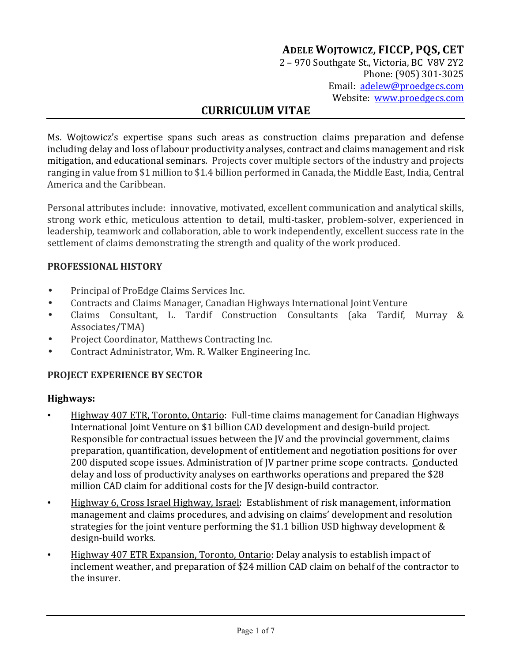# **ADELE WOJTOWICZ, FICCP, PQS, CET**

2 – 970 Southgate St., Victoria, BC V8V 2Y2 Phone: (905) 301-3025 Email: adelew@proedgecs.com Website: www.proedgecs.com

# **CURRICULUM VITAE**

Ms. Wojtowicz's expertise spans such areas as construction claims preparation and defense including delay and loss of labour productivity analyses, contract and claims management and risk mitigation, and educational seminars. Projects cover multiple sectors of the industry and projects ranging in value from \$1 million to \$1.4 billion performed in Canada, the Middle East, India, Central America and the Caribbean.

Personal attributes include: innovative, motivated, excellent communication and analytical skills, strong work ethic, meticulous attention to detail, multi-tasker, problem-solver, experienced in leadership, teamwork and collaboration, able to work independently, excellent success rate in the settlement of claims demonstrating the strength and quality of the work produced.

#### **PROFESSIONAL HISTORY**

- Principal of ProEdge Claims Services Inc.
- Contracts and Claims Manager, Canadian Highways International Joint Venture
- Claims Consultant, L. Tardif Construction Consultants (aka Tardif, Murray & Associates/TMA)
- Project Coordinator, Matthews Contracting Inc.
- Contract Administrator, Wm. R. Walker Engineering Inc.

#### **PROJECT EXPERIENCE BY SECTOR**

#### **Highways:**

- Highway 407 ETR, Toronto, Ontario: Full-time claims management for Canadian Highways International Joint Venture on \$1 billion CAD development and design-build project. Responsible for contractual issues between the JV and the provincial government, claims preparation, quantification, development of entitlement and negotiation positions for over 200 disputed scope issues. Administration of JV partner prime scope contracts. Conducted delay and loss of productivity analyses on earthworks operations and prepared the \$28 million CAD claim for additional costs for the JV design-build contractor.
- Highway 6, Cross Israel Highway, Israel: Establishment of risk management, information management and claims procedures, and advising on claims' development and resolution strategies for the joint venture performing the \$1.1 billion USD highway development & design-build works.
- Highway 407 ETR Expansion, Toronto, Ontario: Delay analysis to establish impact of inclement weather, and preparation of \$24 million CAD claim on behalf of the contractor to the insurer.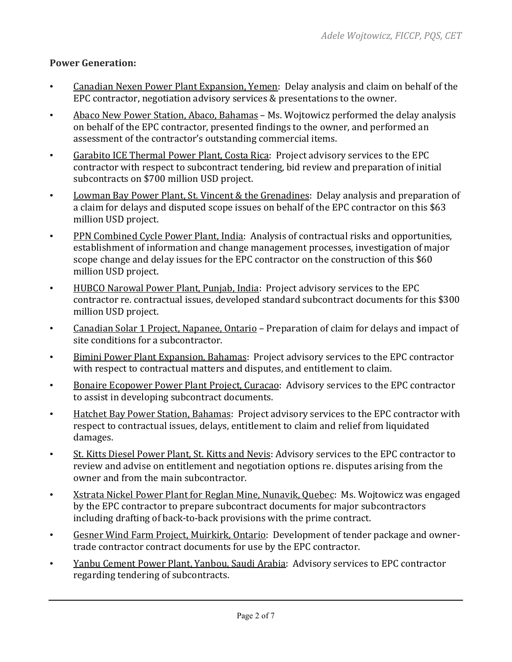### **Power Generation:**

- Canadian Nexen Power Plant Expansion, Yemen: Delay analysis and claim on behalf of the EPC contractor, negotiation advisory services & presentations to the owner.
- Abaco New Power Station, Abaco, Bahamas Ms. Wojtowicz performed the delay analysis on behalf of the EPC contractor, presented findings to the owner, and performed an assessment of the contractor's outstanding commercial items.
- Garabito ICE Thermal Power Plant, Costa Rica: Project advisory services to the EPC contractor with respect to subcontract tendering, bid review and preparation of initial subcontracts on \$700 million USD project.
- Lowman Bay Power Plant, St. Vincent & the Grenadines: Delay analysis and preparation of a claim for delays and disputed scope issues on behalf of the EPC contractor on this \$63 million USD project.
- PPN Combined Cycle Power Plant, India: Analysis of contractual risks and opportunities, establishment of information and change management processes, investigation of major scope change and delay issues for the EPC contractor on the construction of this \$60 million USD project.
- HUBCO Narowal Power Plant, Punjab, India: Project advisory services to the EPC contractor re. contractual issues, developed standard subcontract documents for this \$300 million USD project.
- Canadian Solar 1 Project, Napanee, Ontario Preparation of claim for delays and impact of site conditions for a subcontractor.
- Bimini Power Plant Expansion, Bahamas: Project advisory services to the EPC contractor with respect to contractual matters and disputes, and entitlement to claim.
- Bonaire Ecopower Power Plant Project, Curacao: Advisory services to the EPC contractor to assist in developing subcontract documents.
- Hatchet Bay Power Station, Bahamas: Project advisory services to the EPC contractor with respect to contractual issues, delays, entitlement to claim and relief from liquidated damages.
- St. Kitts Diesel Power Plant, St. Kitts and Nevis: Advisory services to the EPC contractor to review and advise on entitlement and negotiation options re. disputes arising from the owner and from the main subcontractor.
- Xstrata Nickel Power Plant for Reglan Mine, Nunavik, Quebec: Ms. Wojtowicz was engaged by the EPC contractor to prepare subcontract documents for major subcontractors including drafting of back-to-back provisions with the prime contract.
- Gesner Wind Farm Project, Muirkirk, Ontario: Development of tender package and ownertrade contractor contract documents for use by the EPC contractor.
- Yanbu Cement Power Plant, Yanbou, Saudi Arabia: Advisory services to EPC contractor regarding tendering of subcontracts.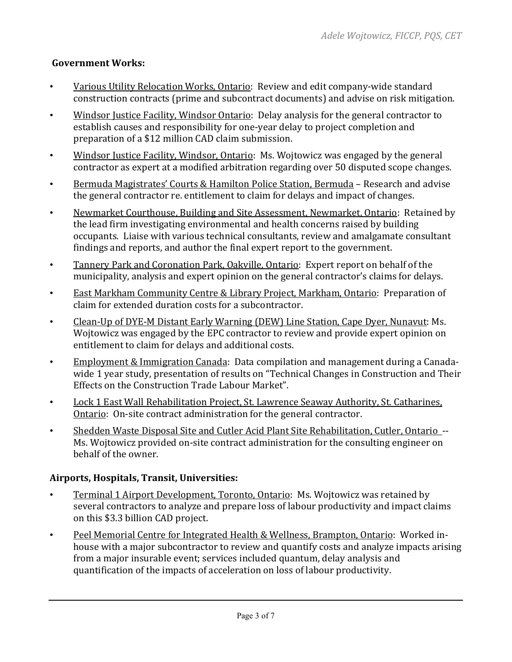## **Government Works:**

- Various Utility Relocation Works, Ontario: Review and edit company-wide standard construction contracts (prime and subcontract documents) and advise on risk mitigation.
- Windsor Justice Facility, Windsor Ontario: Delay analysis for the general contractor to establish causes and responsibility for one-year delay to project completion and preparation of a \$12 million CAD claim submission.
- Windsor Justice Facility, Windsor, Ontario: Ms. Wojtowicz was engaged by the general contractor as expert at a modified arbitration regarding over 50 disputed scope changes.
- Bermuda Magistrates' Courts & Hamilton Police Station, Bermuda Research and advise the general contractor re. entitlement to claim for delays and impact of changes.
- Newmarket Courthouse, Building and Site Assessment, Newmarket, Ontario: Retained by the lead firm investigating environmental and health concerns raised by building occupants. Liaise with various technical consultants, review and amalgamate consultant findings and reports, and author the final expert report to the government.
- Tannery Park and Coronation Park, Oakville, Ontario: Expert report on behalf of the municipality, analysis and expert opinion on the general contractor's claims for delays.
- East Markham Community Centre & Library Project, Markham, Ontario: Preparation of claim for extended duration costs for a subcontractor.
- Clean-Up of DYE-M Distant Early Warning (DEW) Line Station, Cape Dyer, Nunavut: Ms. Wojtowicz was engaged by the EPC contractor to review and provide expert opinion on entitlement to claim for delays and additional costs.
- Employment & Immigration Canada: Data compilation and management during a Canadawide 1 year study, presentation of results on "Technical Changes in Construction and Their Effects on the Construction Trade Labour Market".
- Lock 1 East Wall Rehabilitation Project, St. Lawrence Seaway Authority, St. Catharines, Ontario: On-site contract administration for the general contractor.
- Shedden Waste Disposal Site and Cutler Acid Plant Site Rehabilitation, Cutler, Ontario -- Ms. Wojtowicz provided on-site contract administration for the consulting engineer on behalf of the owner.

## **Airports, Hospitals, Transit, Universities:**

- Terminal 1 Airport Development, Toronto, Ontario: Ms. Wojtowicz was retained by several contractors to analyze and prepare loss of labour productivity and impact claims on this \$3.3 billion CAD project.
- Peel Memorial Centre for Integrated Health & Wellness, Brampton, Ontario: Worked inhouse with a major subcontractor to review and quantify costs and analyze impacts arising from a major insurable event; services included quantum, delay analysis and quantification of the impacts of acceleration on loss of labour productivity.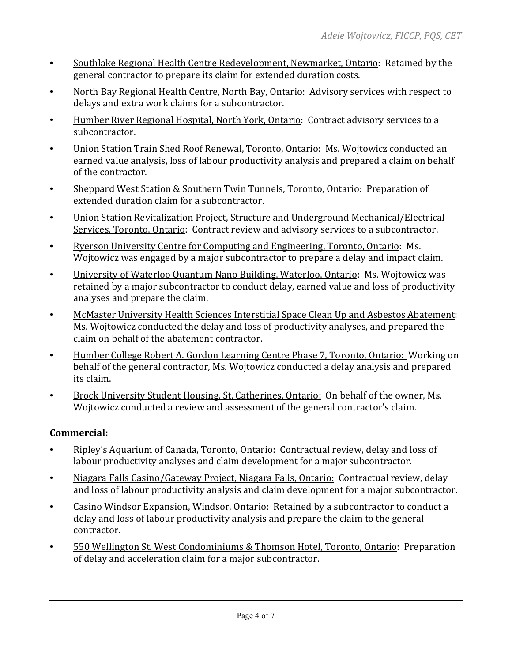- Southlake Regional Health Centre Redevelopment, Newmarket, Ontario: Retained by the general contractor to prepare its claim for extended duration costs.
- North Bay Regional Health Centre, North Bay, Ontario: Advisory services with respect to delays and extra work claims for a subcontractor.
- Humber River Regional Hospital, North York, Ontario: Contract advisory services to a subcontractor.
- Union Station Train Shed Roof Renewal, Toronto, Ontario: Ms. Wojtowicz conducted an earned value analysis, loss of labour productivity analysis and prepared a claim on behalf of the contractor.
- Sheppard West Station & Southern Twin Tunnels, Toronto, Ontario: Preparation of extended duration claim for a subcontractor.
- Union Station Revitalization Project, Structure and Underground Mechanical/Electrical Services, Toronto, Ontario: Contract review and advisory services to a subcontractor.
- Ryerson University Centre for Computing and Engineering, Toronto, Ontario: Ms. Wojtowicz was engaged by a major subcontractor to prepare a delay and impact claim.
- University of Waterloo Quantum Nano Building, Waterloo, Ontario: Ms. Wojtowicz was retained by a major subcontractor to conduct delay, earned value and loss of productivity analyses and prepare the claim.
- McMaster University Health Sciences Interstitial Space Clean Up and Asbestos Abatement: Ms. Wojtowicz conducted the delay and loss of productivity analyses, and prepared the claim on behalf of the abatement contractor.
- Humber College Robert A. Gordon Learning Centre Phase 7, Toronto, Ontario: Working on behalf of the general contractor, Ms. Wojtowicz conducted a delay analysis and prepared its claim.
- Brock University Student Housing, St. Catherines, Ontario: On behalf of the owner, Ms. Wojtowicz conducted a review and assessment of the general contractor's claim.

## **Commercial:**

- Ripley's Aquarium of Canada, Toronto, Ontario: Contractual review, delay and loss of labour productivity analyses and claim development for a major subcontractor.
- Niagara Falls Casino/Gateway Project, Niagara Falls, Ontario: Contractual review, delay and loss of labour productivity analysis and claim development for a major subcontractor.
- Casino Windsor Expansion, Windsor, Ontario: Retained by a subcontractor to conduct a delay and loss of labour productivity analysis and prepare the claim to the general contractor.
- 550 Wellington St. West Condominiums & Thomson Hotel, Toronto, Ontario: Preparation of delay and acceleration claim for a major subcontractor.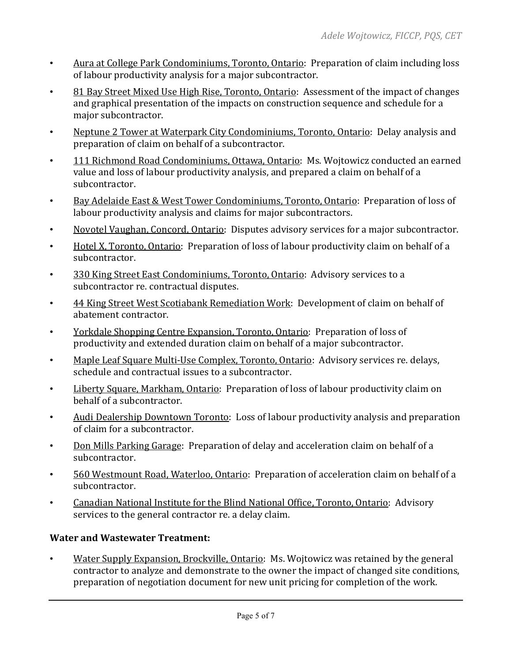- Aura at College Park Condominiums, Toronto, Ontario: Preparation of claim including loss of labour productivity analysis for a major subcontractor.
- 81 Bay Street Mixed Use High Rise, Toronto, Ontario: Assessment of the impact of changes and graphical presentation of the impacts on construction sequence and schedule for a major subcontractor.
- Neptune 2 Tower at Waterpark City Condominiums, Toronto, Ontario: Delay analysis and preparation of claim on behalf of a subcontractor.
- 111 Richmond Road Condominiums, Ottawa, Ontario: Ms. Wojtowicz conducted an earned value and loss of labour productivity analysis, and prepared a claim on behalf of a subcontractor.
- Bay Adelaide East & West Tower Condominiums, Toronto, Ontario: Preparation of loss of labour productivity analysis and claims for major subcontractors.
- Novotel Vaughan, Concord, Ontario: Disputes advisory services for a major subcontractor.
- Hotel X, Toronto, Ontario: Preparation of loss of labour productivity claim on behalf of a subcontractor.
- 330 King Street East Condominiums, Toronto, Ontario: Advisory services to a subcontractor re. contractual disputes.
- 44 King Street West Scotiabank Remediation Work: Development of claim on behalf of abatement contractor.
- Yorkdale Shopping Centre Expansion, Toronto, Ontario: Preparation of loss of productivity and extended duration claim on behalf of a major subcontractor.
- Maple Leaf Square Multi-Use Complex, Toronto, Ontario: Advisory services re. delays, schedule and contractual issues to a subcontractor.
- Liberty Square, Markham, Ontario: Preparation of loss of labour productivity claim on behalf of a subcontractor.
- Audi Dealership Downtown Toronto: Loss of labour productivity analysis and preparation of claim for a subcontractor.
- Don Mills Parking Garage: Preparation of delay and acceleration claim on behalf of a subcontractor.
- 560 Westmount Road, Waterloo, Ontario: Preparation of acceleration claim on behalf of a subcontractor.
- Canadian National Institute for the Blind National Office, Toronto, Ontario: Advisory services to the general contractor re. a delay claim.

## **Water and Wastewater Treatment:**

• Water Supply Expansion, Brockville, Ontario: Ms. Wojtowicz was retained by the general contractor to analyze and demonstrate to the owner the impact of changed site conditions, preparation of negotiation document for new unit pricing for completion of the work.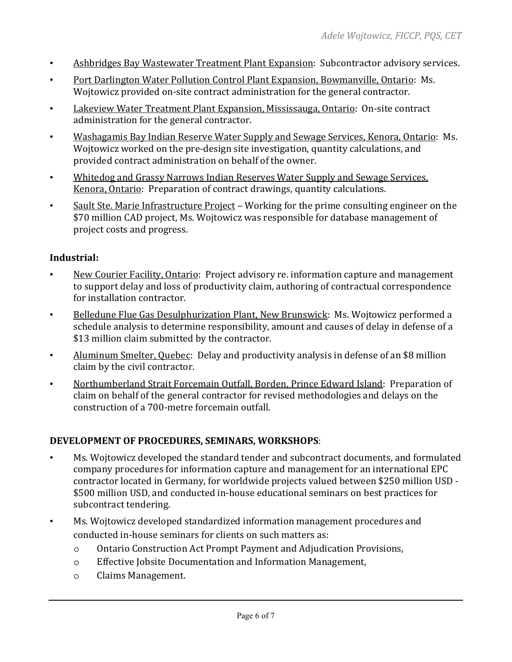- Ashbridges Bay Wastewater Treatment Plant Expansion: Subcontractor advisory services.
- Port Darlington Water Pollution Control Plant Expansion, Bowmanville, Ontario: Ms. Wojtowicz provided on-site contract administration for the general contractor.
- Lakeview Water Treatment Plant Expansion, Mississauga, Ontario: On-site contract administration for the general contractor.
- Washagamis Bay Indian Reserve Water Supply and Sewage Services, Kenora, Ontario: Ms. Wojtowicz worked on the pre-design site investigation, quantity calculations, and provided contract administration on behalf of the owner.
- Whitedog and Grassy Narrows Indian Reserves Water Supply and Sewage Services, Kenora, Ontario: Preparation of contract drawings, quantity calculations.
- Sault Ste. Marie Infrastructure Project Working for the prime consulting engineer on the \$70 million CAD project, Ms. Wojtowicz was responsible for database management of project costs and progress.

### **Industrial:**

- New Courier Facility, Ontario: Project advisory re. information capture and management to support delay and loss of productivity claim, authoring of contractual correspondence for installation contractor.
- Belledune Flue Gas Desulphurization Plant, New Brunswick: Ms. Wojtowicz performed a schedule analysis to determine responsibility, amount and causes of delay in defense of a \$13 million claim submitted by the contractor.
- Aluminum Smelter, Quebec: Delay and productivity analysis in defense of an \$8 million claim by the civil contractor.
- Northumberland Strait Forcemain Outfall, Borden, Prince Edward Island: Preparation of claim on behalf of the general contractor for revised methodologies and delays on the construction of a 700-metre forcemain outfall.

#### **DEVELOPMENT OF PROCEDURES, SEMINARS, WORKSHOPS**:

- Ms. Wojtowicz developed the standard tender and subcontract documents, and formulated company procedures for information capture and management for an international EPC contractor located in Germany, for worldwide projects valued between \$250 million USD - \$500 million USD, and conducted in-house educational seminars on best practices for subcontract tendering.
- Ms. Wojtowicz developed standardized information management procedures and conducted in-house seminars for clients on such matters as:
	- o Ontario Construction Act Prompt Payment and Adjudication Provisions,
	- o Effective Jobsite Documentation and Information Management,
	- o Claims Management.